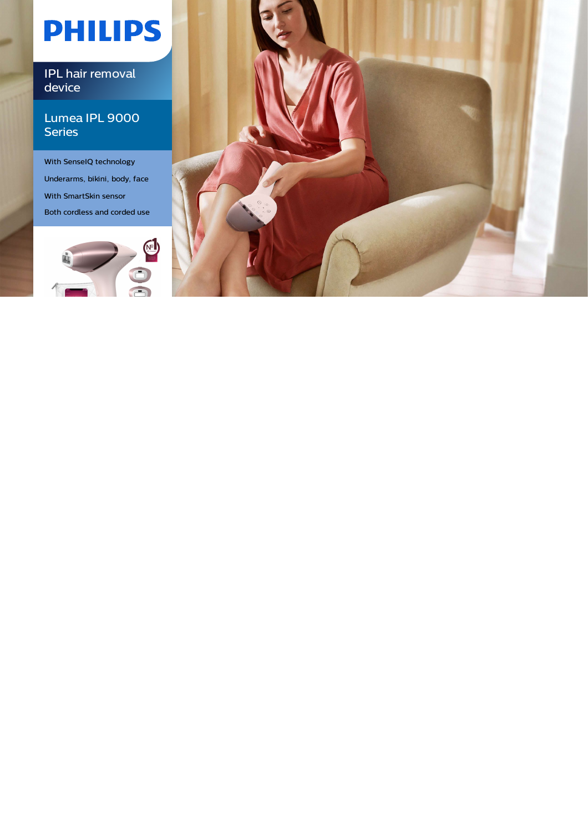# **PHILIPS**

IPL hair removal device

### Lumea IPL 9000 **Series**

With SenseIQ technology Underarms, bikini, body, face With SmartSkin sensor Both cordless and corded use



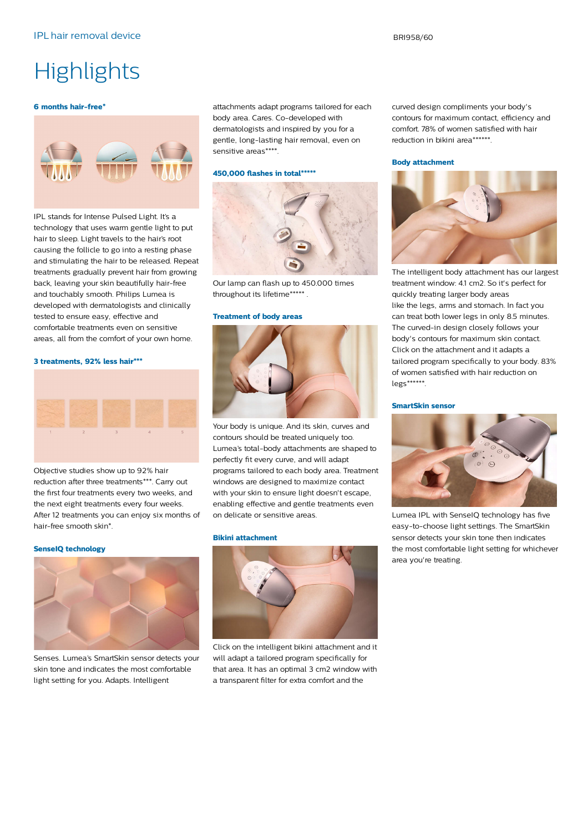## **Highlights**

#### **6 months hair-free\***



IPL stands for Intense Pulsed Light. It's a technology that uses warm gentle light to put hair to sleep. Light travels to the hair's root causing the follicle to go into a resting phase and stimulating the hair to be released. Repeat treatments gradually prevent hair from growing back, leaving your skin beautifully hair-free and touchably smooth. Philips Lumea is developed with dermatologists and clinically tested to ensure easy, effective and comfortable treatments even on sensitive areas, all from the comfort of your own home.

#### **3 treatments, 92% less hair\*\*\***



Objective studies show up to 92% hair reduction after three treatments\*\*\*. Carry out the first four treatments every two weeks, and the next eight treatments every four weeks. After 12 treatments you can enjoy six months of hair-free smooth skin\*.

#### **SenseIQ technology**



Senses. Lumea's SmartSkin sensor detects your skin tone and indicates the most comfortable light setting for you. Adapts. Intelligent

attachments adapt programs tailored for each body area. Cares. Co-developed with dermatologists and inspired by you for a gentle, long-lasting hair removal, even on sensitive areas\*\*\*\*.

#### **450,000 flashes in total\*\*\*\*\***



Our lamp can flash up to 450.000 times throughout its lifetime\*\*\*\*\* .

#### **Treatment of body areas**



Your body is unique. And its skin, curves and contours should be treated uniquely too. Lumea's total-body attachments are shaped to perfectly fit every curve, and will adapt programs tailored to each body area. Treatment windows are designed to maximize contact with your skin to ensure light doesn't escape, enabling effective and gentle treatments even on delicate or sensitive areas.

#### **Bikini attachment**



Click on the intelligent bikini attachment and it will adapt a tailored program specifically for that area. It has an optimal 3 cm2 window with a transparent filter for extra comfort and the

curved design compliments your body's contours for maximum contact, efficiency and comfort. 78% of women satisfied with hair reduction in bikini area\*\*\*\*\*\*.

#### **Body attachment**



The intelligent body attachment has our largest treatment window: 4.1 cm2. So it's perfect for quickly treating larger body areas like the legs, arms and stomach. In fact you can treat both lower legs in only 8.5 minutes. The curved-in design closely follows your body's contours for maximum skin contact. Click on the attachment and it adapts a tailored program specifically to your body. 83% of women satisfied with hair reduction on legs\*\*\*\*\*\*.

#### **SmartSkin sensor**



Lumea IPL with SenseIQ technology has five easy-to-choose light settings. The SmartSkin sensor detects your skin tone then indicates the most comfortable light setting for whichever area you're treating.